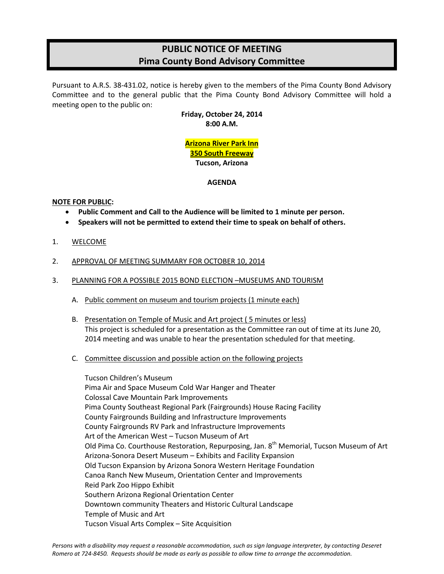# **PUBLIC NOTICE OF MEETING Pima County Bond Advisory Committee**

Pursuant to A.R.S. 38-431.02, notice is hereby given to the members of the Pima County Bond Advisory Committee and to the general public that the Pima County Bond Advisory Committee will hold a meeting open to the public on:

> **Friday, October 24, 2014 8:00 A.M.**

# **Arizona River Park Inn 350 South Freeway Tucson, Arizona**

## **AGENDA**

# **NOTE FOR PUBLIC:**

- **Public Comment and Call to the Audience will be limited to 1 minute per person.**
- **Speakers will not be permitted to extend their time to speak on behalf of others.**
- 1. WELCOME
- 2. APPROVAL OF MEETING SUMMARY FOR OCTOBER 10, 2014
- 3. PLANNING FOR A POSSIBLE 2015 BOND ELECTION –MUSEUMS AND TOURISM
	- A. Public comment on museum and tourism projects (1 minute each)
	- B. Presentation on Temple of Music and Art project ( 5 minutes or less) This project is scheduled for a presentation as the Committee ran out of time at its June 20, 2014 meeting and was unable to hear the presentation scheduled for that meeting.
	- C. Committee discussion and possible action on the following projects

Tucson Children's Museum Pima Air and Space Museum Cold War Hanger and Theater Colossal Cave Mountain Park Improvements Pima County Southeast Regional Park (Fairgrounds) House Racing Facility County Fairgrounds Building and Infrastructure Improvements County Fairgrounds RV Park and Infrastructure Improvements Art of the American West – Tucson Museum of Art Old Pima Co. Courthouse Restoration, Repurposing, Jan. 8<sup>th</sup> Memorial, Tucson Museum of Art Arizona-Sonora Desert Museum – Exhibits and Facility Expansion Old Tucson Expansion by Arizona Sonora Western Heritage Foundation Canoa Ranch New Museum, Orientation Center and Improvements Reid Park Zoo Hippo Exhibit Southern Arizona Regional Orientation Center Downtown community Theaters and Historic Cultural Landscape Temple of Music and Art Tucson Visual Arts Complex – Site Acquisition